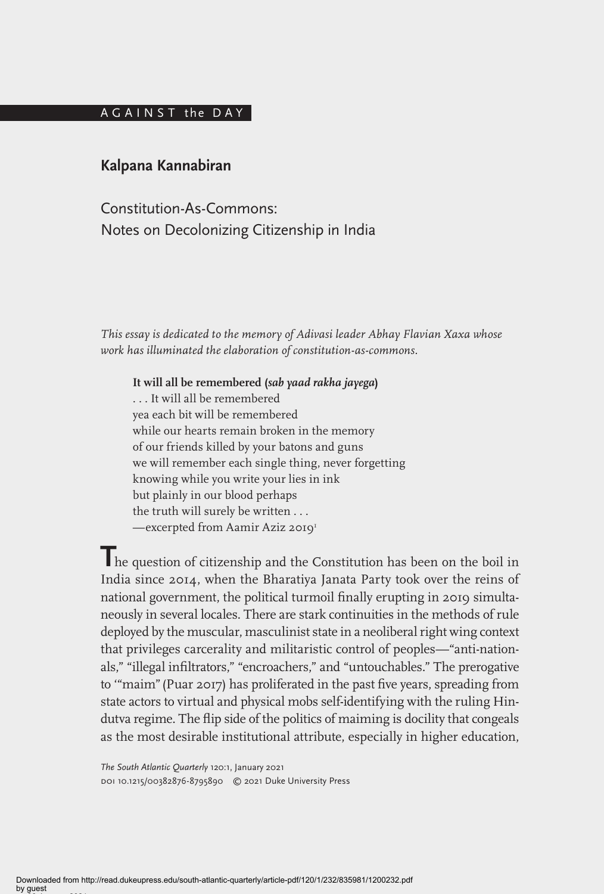# A G A I N S T the D A Y

# **Kalpana Kannabiran**

Constitution-As-Commons: Notes on Decolonizing Citizenship in India

*This essay is dedicated to the memory of Adivasi leader Abhay Flavian Xaxa whose work has illuminated the elaboration of constitution-as-commons.*

#### **It will all be remembered (***sab yaad rakha jayega***)**

. . . It will all be remembered yea each bit will be remembered while our hearts remain broken in the memory of our friends killed by your batons and guns we will remember each single thing, never forgetting knowing while you write your lies in ink but plainly in our blood perhaps the truth will surely be written . . . —excerpted from Aamir Aziz 20191

**T**he question of citizenship and the Constitution has been on the boil in India since 2014, when the Bharatiya Janata Party took over the reins of national government, the political turmoil finally erupting in 2019 simultaneously in several locales. There are stark continuities in the methods of rule deployed by the muscular, masculinist state in a neoliberal right wing context that privileges carcerality and militaristic control of peoples—"anti-nationals," "illegal infiltrators," "encroachers," and "untouchables." The prerogative to '"maim" (Puar 2017) has proliferated in the past five years, spreading from state actors to virtual and physical mobs self-identifying with the ruling Hindutva regime. The flip side of the politics of maiming is docility that congeals as the most desirable institutional attribute, especially in higher education,

*The South Atlantic Quarterly* 120:1, January 2021 doi 10.1215/00382876-8795890 © 2021 Duke University Press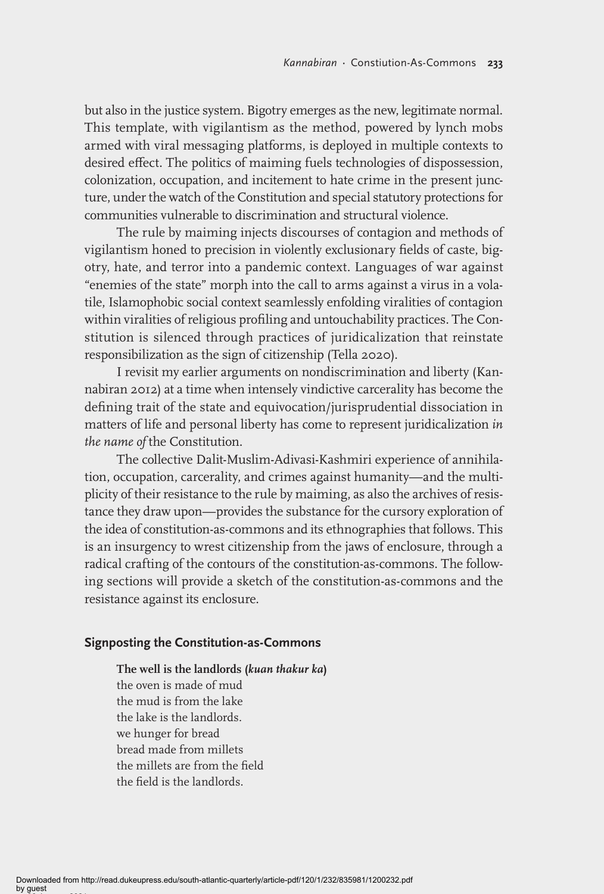but also in the justice system. Bigotry emerges as the new, legitimate normal. This template, with vigilantism as the method, powered by lynch mobs armed with viral messaging platforms, is deployed in multiple contexts to desired effect. The politics of maiming fuels technologies of dispossession, colonization, occupation, and incitement to hate crime in the present juncture, under the watch of the Constitution and special statutory protections for communities vulnerable to discrimination and structural violence.

The rule by maiming injects discourses of contagion and methods of vigilantism honed to precision in violently exclusionary fields of caste, bigotry, hate, and terror into a pandemic context. Languages of war against "enemies of the state" morph into the call to arms against a virus in a volatile, Islamophobic social context seamlessly enfolding viralities of contagion within viralities of religious profiling and untouchability practices. The Constitution is silenced through practices of juridicalization that reinstate responsibilization as the sign of citizenship (Tella 2020).

I revisit my earlier arguments on nondiscrimination and liberty (Kannabiran 2012) at a time when intensely vindictive carcerality has become the defining trait of the state and equivocation/jurisprudential dissociation in matters of life and personal liberty has come to represent juridicalization *in the name of* the Constitution.

The collective Dalit-Muslim-Adivasi-Kashmiri experience of annihilation, occupation, carcerality, and crimes against humanity—and the multiplicity of their resistance to the rule by maiming, as also the archives of resistance they draw upon—provides the substance for the cursory exploration of the idea of constitution-as-commons and its ethnographies that follows. This is an insurgency to wrest citizenship from the jaws of enclosure, through a radical crafting of the contours of the constitution-as-commons. The following sections will provide a sketch of the constitution-as-commons and the resistance against its enclosure.

## **Signposting the Constitution-as-Commons**

**The well is the landlords (***kuan thakur ka***)** the oven is made of mud the mud is from the lake the lake is the landlords. we hunger for bread bread made from millets the millets are from the field the field is the landlords.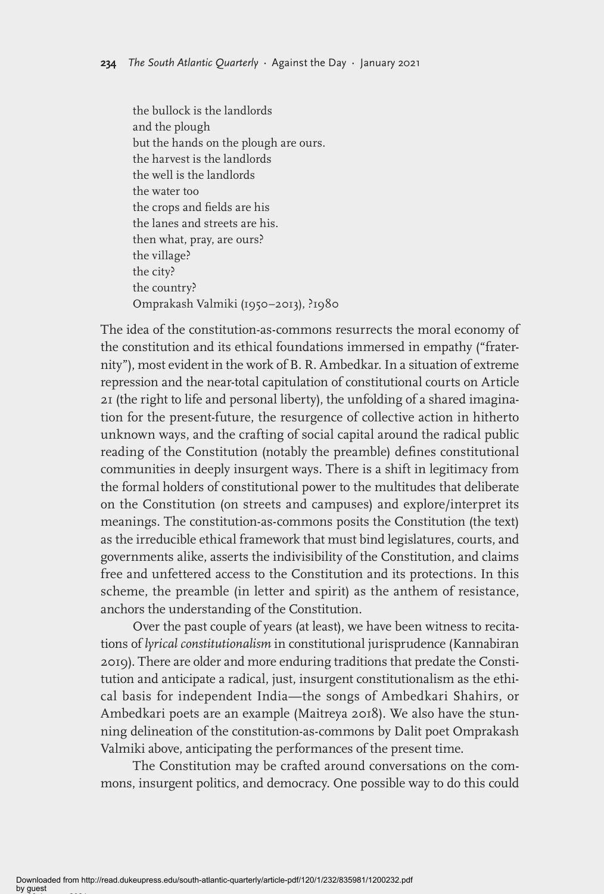the bullock is the landlords and the plough but the hands on the plough are ours. the harvest is the landlords the well is the landlords the water too the crops and fields are his the lanes and streets are his. then what, pray, are ours? the village? the city? the country? Omprakash Valmiki (1950–2013), ?1980

The idea of the constitution-as-commons resurrects the moral economy of the constitution and its ethical foundations immersed in empathy ("fraternity"), most evident in the work of B. R. Ambedkar. In a situation of extreme repression and the near-total capitulation of constitutional courts on Article 21 (the right to life and personal liberty), the unfolding of a shared imagination for the present-future, the resurgence of collective action in hitherto unknown ways, and the crafting of social capital around the radical public reading of the Constitution (notably the preamble) defines constitutional communities in deeply insurgent ways. There is a shift in legitimacy from the formal holders of constitutional power to the multitudes that deliberate on the Constitution (on streets and campuses) and explore/interpret its meanings. The constitution-as-commons posits the Constitution (the text) as the irreducible ethical framework that must bind legislatures, courts, and governments alike, asserts the indivisibility of the Constitution, and claims free and unfettered access to the Constitution and its protections. In this scheme, the preamble (in letter and spirit) as the anthem of resistance, anchors the understanding of the Constitution.

Over the past couple of years (at least), we have been witness to recitations of *lyrical constitutionalism* in constitutional jurisprudence (Kannabiran 2019). There are older and more enduring traditions that predate the Constitution and anticipate a radical, just, insurgent constitutionalism as the ethical basis for independent India—the songs of Ambedkari Shahirs, or Ambedkari poets are an example (Maitreya 2018). We also have the stunning delineation of the constitution-as-commons by Dalit poet Omprakash Valmiki above, anticipating the performances of the present time.

The Constitution may be crafted around conversations on the commons, insurgent politics, and democracy. One possible way to do this could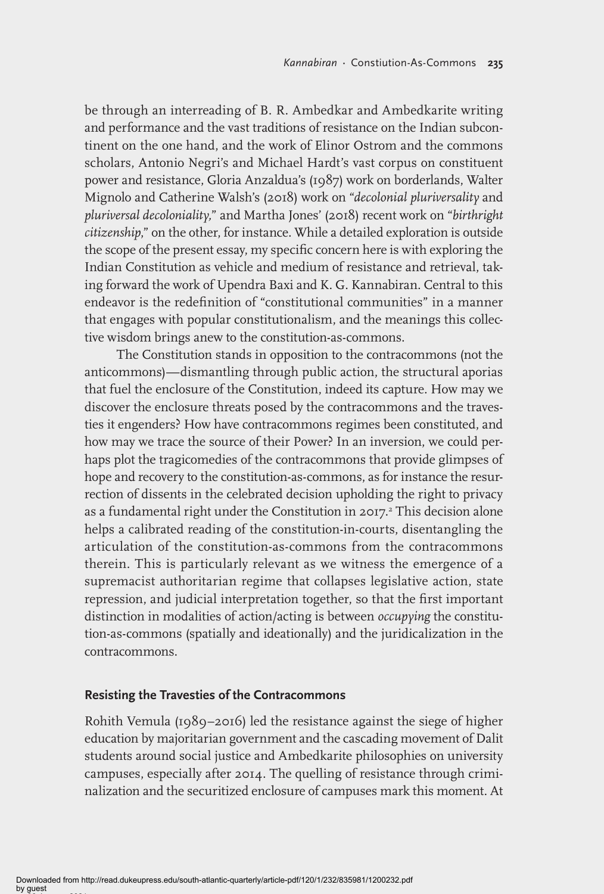be through an interreading of B. R. Ambedkar and Ambedkarite writing and performance and the vast traditions of resistance on the Indian subcontinent on the one hand, and the work of Elinor Ostrom and the commons scholars, Antonio Negri's and Michael Hardt's vast corpus on constituent power and resistance, Gloria Anzaldua's (1987) work on borderlands, Walter Mignolo and Catherine Walsh's (2018) work on "*decolonial pluriversality* and *pluriversal decoloniality,*" and Martha Jones' (2018) recent work on "*birthright citizenship*," on the other, for instance. While a detailed exploration is outside the scope of the present essay, my specific concern here is with exploring the Indian Constitution as vehicle and medium of resistance and retrieval, taking forward the work of Upendra Baxi and K. G. Kannabiran. Central to this endeavor is the redefinition of "constitutional communities" in a manner that engages with popular constitutionalism, and the meanings this collective wisdom brings anew to the constitution-as-commons.

The Constitution stands in opposition to the contracommons (not the anticommons)—dismantling through public action, the structural aporias that fuel the enclosure of the Constitution, indeed its capture. How may we discover the enclosure threats posed by the contracommons and the travesties it engenders? How have contracommons regimes been constituted, and how may we trace the source of their Power? In an inversion, we could perhaps plot the tragicomedies of the contracommons that provide glimpses of hope and recovery to the constitution-as-commons, as for instance the resurrection of dissents in the celebrated decision upholding the right to privacy as a fundamental right under the Constitution in 2017.<sup>2</sup> This decision alone helps a calibrated reading of the constitution-in-courts, disentangling the articulation of the constitution-as-commons from the contracommons therein. This is particularly relevant as we witness the emergence of a supremacist authoritarian regime that collapses legislative action, state repression, and judicial interpretation together, so that the first important distinction in modalities of action/acting is between *occupying* the constitution-as-commons (spatially and ideationally) and the juridicalization in the contracommons.

## **Resisting the Travesties of the Contracommons**

Rohith Vemula (1989–2016) led the resistance against the siege of higher education by majoritarian government and the cascading movement of Dalit students around social justice and Ambedkarite philosophies on university campuses, especially after 2014. The quelling of resistance through criminalization and the securitized enclosure of campuses mark this moment. At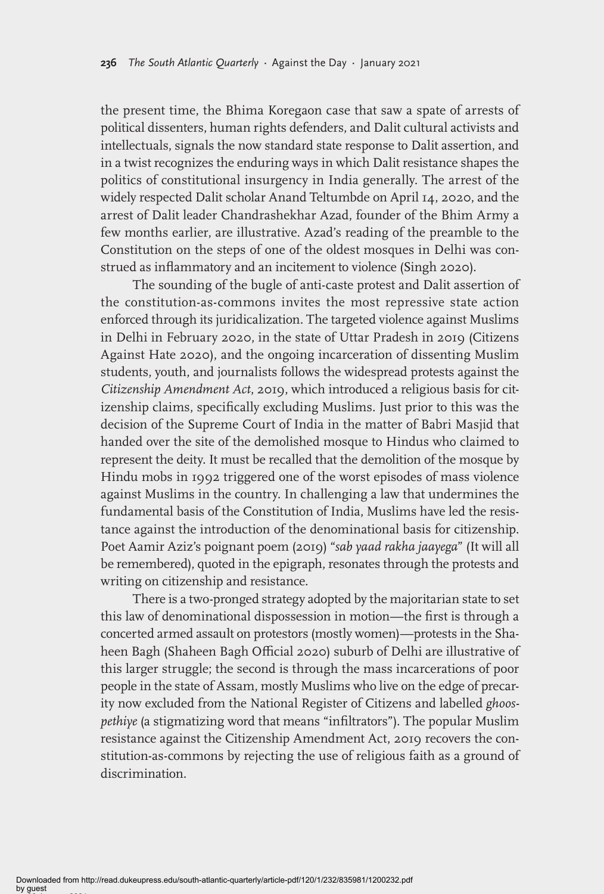the present time, the Bhima Koregaon case that saw a spate of arrests of political dissenters, human rights defenders, and Dalit cultural activists and intellectuals, signals the now standard state response to Dalit assertion, and in a twist recognizes the enduring ways in which Dalit resistance shapes the politics of constitutional insurgency in India generally. The arrest of the widely respected Dalit scholar Anand Teltumbde on April 14, 2020, and the arrest of Dalit leader Chandrashekhar Azad, founder of the Bhim Army a few months earlier, are illustrative. Azad's reading of the preamble to the Constitution on the steps of one of the oldest mosques in Delhi was construed as inflammatory and an incitement to violence (Singh 2020).

The sounding of the bugle of anti-caste protest and Dalit assertion of the constitution-as-commons invites the most repressive state action enforced through its juridicalization. The targeted violence against Muslims in Delhi in February 2020, in the state of Uttar Pradesh in 2019 (Citizens Against Hate 2020), and the ongoing incarceration of dissenting Muslim students, youth, and journalists follows the widespread protests against the *Citizenship Amendment Act*, 2019, which introduced a religious basis for citizenship claims, specifically excluding Muslims. Just prior to this was the decision of the Supreme Court of India in the matter of Babri Masjid that handed over the site of the demolished mosque to Hindus who claimed to represent the deity. It must be recalled that the demolition of the mosque by Hindu mobs in 1992 triggered one of the worst episodes of mass violence against Muslims in the country. In challenging a law that undermines the fundamental basis of the Constitution of India, Muslims have led the resistance against the introduction of the denominational basis for citizenship. Poet Aamir Aziz's poignant poem (2019) "*sab yaad rakha jaayega*" (It will all be remembered), quoted in the epigraph, resonates through the protests and writing on citizenship and resistance.

There is a two-pronged strategy adopted by the majoritarian state to set this law of denominational dispossession in motion—the first is through a concerted armed assault on protestors (mostly women)—protests in the Shaheen Bagh (Shaheen Bagh Official 2020) suburb of Delhi are illustrative of this larger struggle; the second is through the mass incarcerations of poor people in the state of Assam, mostly Muslims who live on the edge of precarity now excluded from the National Register of Citizens and labelled *ghoospethiye* (a stigmatizing word that means "infiltrators"). The popular Muslim resistance against the Citizenship Amendment Act, 2019 recovers the constitution-as-commons by rejecting the use of religious faith as a ground of discrimination.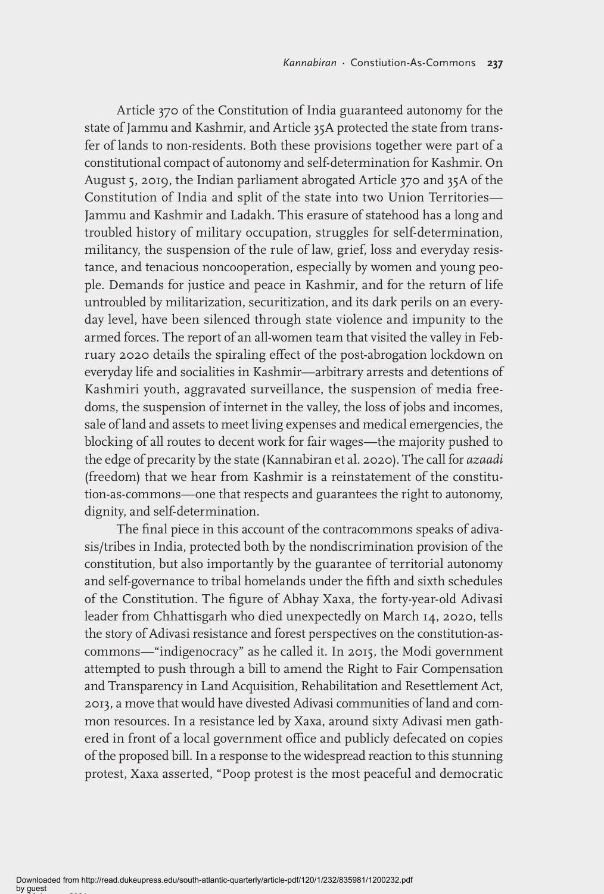Article 370 of the Constitution of India guaranteed autonomy for the state of Jammu and Kashmir, and Article 35A protected the state from transfer of lands to non-residents. Both these provisions together were part of a constitutional compact of autonomy and self-determination for Kashmir. On August 5, 2019, the Indian parliament abrogated Article 370 and 35A of the Constitution of India and split of the state into two Union Territories— Jammu and Kashmir and Ladakh. This erasure of statehood has a long and troubled history of military occupation, struggles for self-determination, militancy, the suspension of the rule of law, grief, loss and everyday resistance, and tenacious noncooperation, especially by women and young people. Demands for justice and peace in Kashmir, and for the return of life untroubled by militarization, securitization, and its dark perils on an everyday level, have been silenced through state violence and impunity to the armed forces. The report of an all-women team that visited the valley in February 2020 details the spiraling effect of the post-abrogation lockdown on everyday life and socialities in Kashmir—arbitrary arrests and detentions of Kashmiri youth, aggravated surveillance, the suspension of media freedoms, the suspension of internet in the valley, the loss of jobs and incomes, sale of land and assets to meet living expenses and medical emergencies, the blocking of all routes to decent work for fair wages—the majority pushed to the edge of precarity by the state (Kannabiran et al. 2020). The call for *azaadi* (freedom) that we hear from Kashmir is a reinstatement of the constitution-as-commons—one that respects and guarantees the right to autonomy, dignity, and self-determination.

The final piece in this account of the contracommons speaks of adivasis/tribes in India, protected both by the nondiscrimination provision of the constitution, but also importantly by the guarantee of territorial autonomy and self-governance to tribal homelands under the fifth and sixth schedules of the Constitution. The figure of Abhay Xaxa, the forty-year-old Adivasi leader from Chhattisgarh who died unexpectedly on March 14, 2020, tells the story of Adivasi resistance and forest perspectives on the constitution-ascommons—"indigenocracy" as he called it. In 2015, the Modi government attempted to push through a bill to amend the Right to Fair Compensation and Transparency in Land Acquisition, Rehabilitation and Resettlement Act, 2013, a move that would have divested Adivasi communities of land and common resources. In a resistance led by Xaxa, around sixty Adivasi men gathered in front of a local government office and publicly defecated on copies of the proposed bill. In a response to the widespread reaction to this stunning protest, Xaxa asserted, "Poop protest is the most peaceful and democratic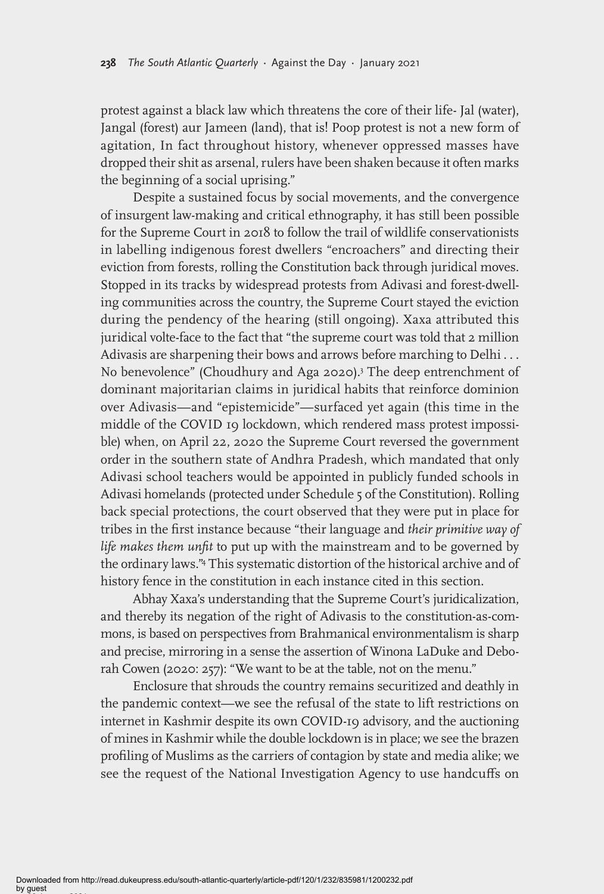protest against a black law which threatens the core of their life- Jal (water), Jangal (forest) aur Jameen (land), that is! Poop protest is not a new form of agitation, In fact throughout history, whenever oppressed masses have dropped their shit as arsenal, rulers have been shaken because it often marks the beginning of a social uprising."

Despite a sustained focus by social movements, and the convergence of insurgent law-making and critical ethnography, it has still been possible for the Supreme Court in 2018 to follow the trail of wildlife conservationists in labelling indigenous forest dwellers "encroachers" and directing their eviction from forests, rolling the Constitution back through juridical moves. Stopped in its tracks by widespread protests from Adivasi and forest-dwelling communities across the country, the Supreme Court stayed the eviction during the pendency of the hearing (still ongoing). Xaxa attributed this juridical volte-face to the fact that "the supreme court was told that 2 million Adivasis are sharpening their bows and arrows before marching to Delhi . . . No benevolence" (Choudhury and Aga 2020).<sup>3</sup> The deep entrenchment of dominant majoritarian claims in juridical habits that reinforce dominion over Adivasis—and "epistemicide"—surfaced yet again (this time in the middle of the COVID 19 lockdown, which rendered mass protest impossible) when, on April 22, 2020 the Supreme Court reversed the government order in the southern state of Andhra Pradesh, which mandated that only Adivasi school teachers would be appointed in publicly funded schools in Adivasi homelands (protected under Schedule 5 of the Constitution). Rolling back special protections, the court observed that they were put in place for tribes in the first instance because "their language and *their primitive way of life makes them unfit* to put up with the mainstream and to be governed by the ordinary laws."4 This systematic distortion of the historical archive and of history fence in the constitution in each instance cited in this section.

Abhay Xaxa's understanding that the Supreme Court's juridicalization, and thereby its negation of the right of Adivasis to the constitution-as-commons, is based on perspectives from Brahmanical environmentalism is sharp and precise, mirroring in a sense the assertion of Winona LaDuke and Deborah Cowen (2020: 257): "We want to be at the table, not on the menu."

Enclosure that shrouds the country remains securitized and deathly in the pandemic context—we see the refusal of the state to lift restrictions on internet in Kashmir despite its own COVID-19 advisory, and the auctioning of mines in Kashmir while the double lockdown is in place; we see the brazen profiling of Muslims as the carriers of contagion by state and media alike; we see the request of the National Investigation Agency to use handcuffs on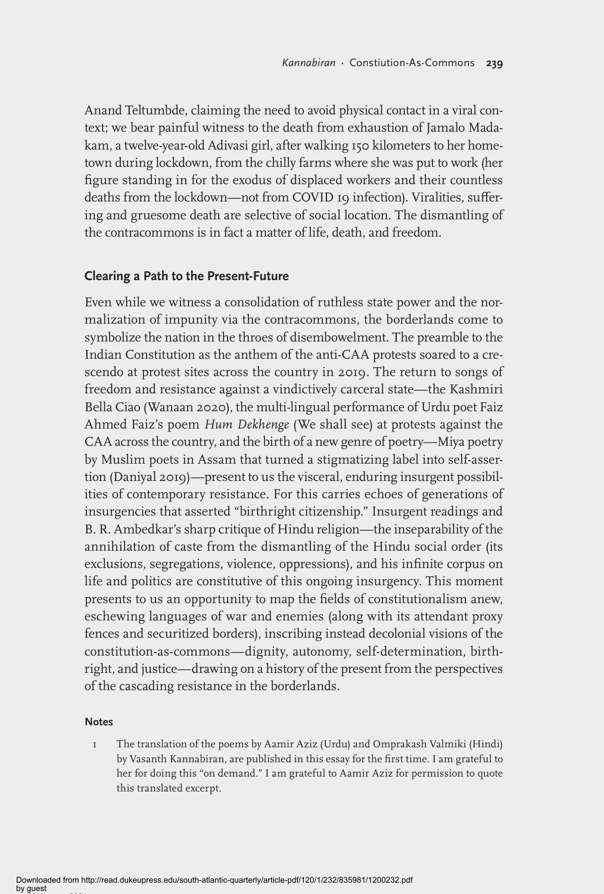Anand Teltumbde, claiming the need to avoid physical contact in a viral context; we bear painful witness to the death from exhaustion of Jamalo Madakam, a twelve-year-old Adivasi girl, after walking 150 kilometers to her hometown during lockdown, from the chilly farms where she was put to work (her figure standing in for the exodus of displaced workers and their countless deaths from the lockdown—not from COVID 19 infection). Viralities, suffering and gruesome death are selective of social location. The dismantling of the contracommons is in fact a matter of life, death, and freedom.

## **Clearing a Path to the Present-Future**

Even while we witness a consolidation of ruthless state power and the normalization of impunity via the contracommons, the borderlands come to symbolize the nation in the throes of disembowelment. The preamble to the Indian Constitution as the anthem of the anti-CAA protests soared to a crescendo at protest sites across the country in 2019. The return to songs of freedom and resistance against a vindictively carceral state—the Kashmiri Bella Ciao (Wanaan 2020), the multi-lingual performance of Urdu poet Faiz Ahmed Faiz's poem *Hum Dekhenge* (We shall see) at protests against the CAA across the country, and the birth of a new genre of poetry—Miya poetry by Muslim poets in Assam that turned a stigmatizing label into self-assertion (Daniyal 2019)—present to us the visceral, enduring insurgent possibilities of contemporary resistance. For this carries echoes of generations of insurgencies that asserted "birthright citizenship." Insurgent readings and B. R. Ambedkar's sharp critique of Hindu religion—the inseparability of the annihilation of caste from the dismantling of the Hindu social order (its exclusions, segregations, violence, oppressions), and his infinite corpus on life and politics are constitutive of this ongoing insurgency. This moment presents to us an opportunity to map the fields of constitutionalism anew, eschewing languages of war and enemies (along with its attendant proxy fences and securitized borders), inscribing instead decolonial visions of the constitution-as-commons—dignity, autonomy, self-determination, birthright, and justice—drawing on a history of the present from the perspectives of the cascading resistance in the borderlands.

## **Notes**

on 06 January 2021

1 The translation of the poems by Aamir Aziz (Urdu) and Omprakash Valmiki (Hindi) by Vasanth Kannabiran, are published in this essay for the first time. I am grateful to her for doing this "on demand." I am grateful to Aamir Aziz for permission to quote this translated excerpt.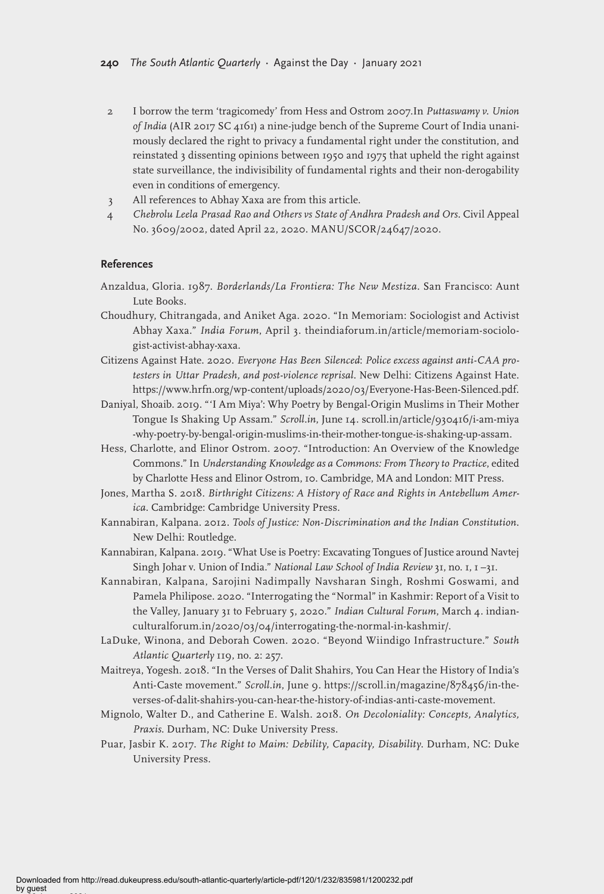- 2 I borrow the term 'tragicomedy' from Hess and Ostrom 2007.In *Puttaswamy v. Union of India* (AIR 2017 SC 4161) a nine-judge bench of the Supreme Court of India unanimously declared the right to privacy a fundamental right under the constitution, and reinstated 3 dissenting opinions between 1950 and 1975 that upheld the right against state surveillance, the indivisibility of fundamental rights and their non-derogability even in conditions of emergency.
- 3 All references to Abhay Xaxa are from this article.
- 4 *Chebrolu Leela Prasad Rao and Others vs State of Andhra Pradesh and Ors*. Civil Appeal No. 3609/2002, dated April 22, 2020. MANU/SCOR/24647/2020.

#### **References**

- Anzaldua, Gloria. 1987. *Borderlands/La Frontiera: The New Mestiza*. San Francisco: Aunt Lute Books.
- Choudhury, Chitrangada, and Aniket Aga. 2020. "In Memoriam: Sociologist and Activist Abhay Xaxa." *India Forum*, April 3. theindiaforum.in/article/memoriam-sociologist-activist-abhay-xaxa.
- Citizens Against Hate. 2020. *Everyone Has Been Silenced*: *Police excess against anti-CAA protesters in Uttar Pradesh, and post-violence reprisal*. New Delhi: Citizens Against Hate. https://www.hrfn.org/wp-content/uploads/2020/03/Everyone-Has-Been-Silenced.pdf.
- Daniyal, Shoaib. 2019. "'I Am Miya': Why Poetry by Bengal-Origin Muslims in Their Mother Tongue Is Shaking Up Assam." *Scroll.in*, June 14. scroll.in/article/930416/i-am-miya -why-poetry-by-bengal-origin-muslims-in-their-mother-tongue-is-shaking-up-assam.
- Hess, Charlotte, and Elinor Ostrom. 2007. "Introduction: An Overview of the Knowledge Commons." In *Understanding Knowledge as a Commons: From Theory to Practice*, edited by Charlotte Hess and Elinor Ostrom, 10. Cambridge, MA and London: MIT Press.
- Jones, Martha S. 2018. *Birthright Citizens: A History of Race and Rights in Antebellum America*. Cambridge: Cambridge University Press.
- Kannabiran, Kalpana. 2012. *Tools of Justice: Non-Discrimination and the Indian Constitution*. New Delhi: Routledge.
- Kannabiran, Kalpana. 2019. "What Use is Poetry: Excavating Tongues of Justice around Navtej Singh Johar v. Union of India." *National Law School of India Review* 31, no. 1, 1 –31.
- Kannabiran, Kalpana, Sarojini Nadimpally Navsharan Singh, Roshmi Goswami, and Pamela Philipose. 2020. "Interrogating the "Normal" in Kashmir: Report of a Visit to the Valley, January 31 to February 5, 2020." *Indian Cultural Forum*, March 4. indianculturalforum.in/2020/03/04/interrogating-the-normal-in-kashmir/.
- LaDuke, Winona, and Deborah Cowen. 2020. "Beyond Wiindigo Infrastructure." *South Atlantic Quarterly* 119, no. 2: 257.
- Maitreya, Yogesh. 2018. "In the Verses of Dalit Shahirs, You Can Hear the History of India's Anti-Caste movement." *Scroll.in*, June 9. https://scroll.in/magazine/878456/in-theverses-of-dalit-shahirs-you-can-hear-the-history-of-indias-anti-caste-movement.
- Mignolo, Walter D., and Catherine E. Walsh. 2018. *On Decoloniality: Concepts, Analytics, Praxis*. Durham, NC: Duke University Press.
- Puar, Jasbir K. 2017. *The Right to Maim: Debility, Capacity, Disability*. Durham, NC: Duke University Press.